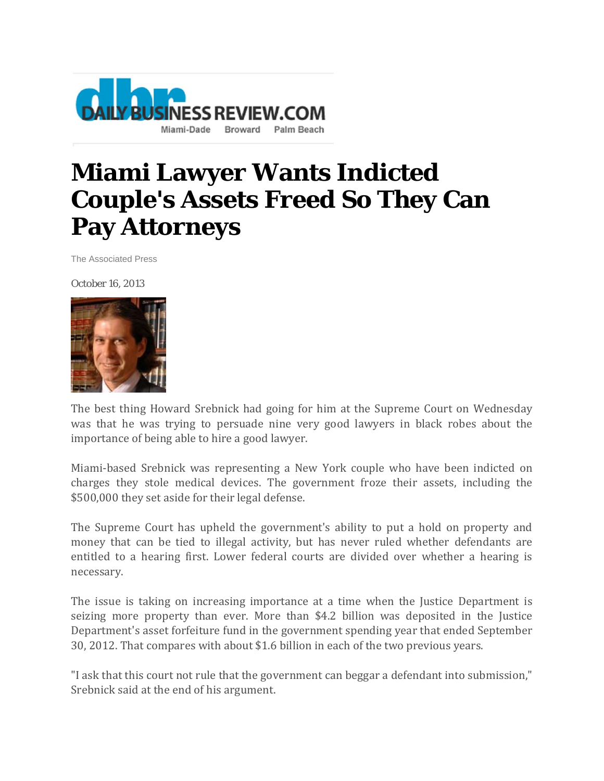

## **Miami Lawyer Wants Indicted Couple's Assets Freed So They Can Pay Attorneys**

The Associated Press

October 16, 2013



The best thing Howard Srebnick had going for him at the Supreme Court on Wednesday was that he was trying to persuade nine very good lawyers in black robes about the importance of being able to hire a good lawyer.

Miami-based Srebnick was representing a New York couple who have been indicted on charges they stole medical devices. The government froze their assets, including the \$500,000 they set aside for their legal defense.

The Supreme Court has upheld the government's ability to put a hold on property and money that can be tied to illegal activity, but has never ruled whether defendants are entitled to a hearing first. Lower federal courts are divided over whether a hearing is necessary. 

The issue is taking on increasing importance at a time when the Justice Department is seizing more property than ever. More than  $$4.2$  billion was deposited in the Justice Department's asset forfeiture fund in the government spending year that ended September 30, 2012. That compares with about \$1.6 billion in each of the two previous years.

"I ask that this court not rule that the government can beggar a defendant into submission," Srebnick said at the end of his argument.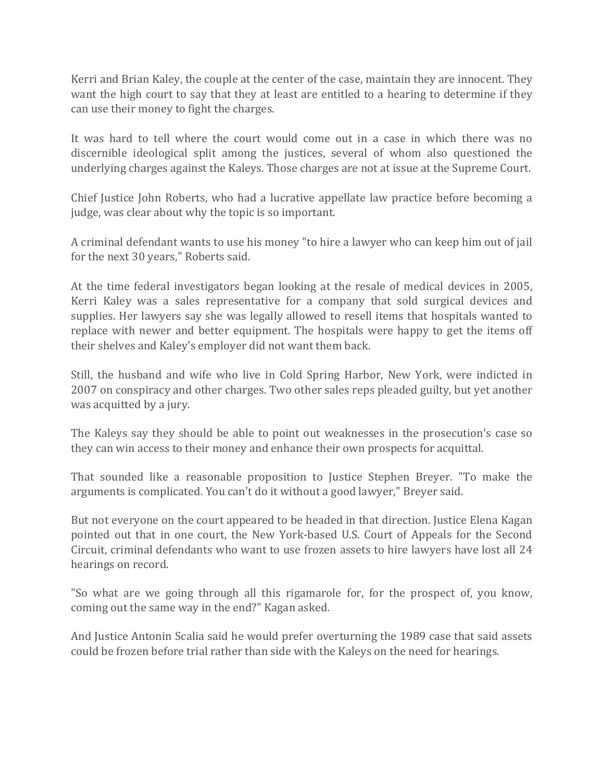Kerri and Brian Kaley, the couple at the center of the case, maintain they are innocent. They want the high court to say that they at least are entitled to a hearing to determine if they can use their money to fight the charges.

It was hard to tell where the court would come out in a case in which there was no discernible ideological split among the justices, several of whom also questioned the underlying charges against the Kaleys. Those charges are not at issue at the Supreme Court.

Chief Justice John Roberts, who had a lucrative appellate law practice before becoming a judge, was clear about why the topic is so important.

A criminal defendant wants to use his money "to hire a lawyer who can keep him out of jail for the next 30 years," Roberts said.

At the time federal investigators began looking at the resale of medical devices in 2005, Kerri Kaley was a sales representative for a company that sold surgical devices and supplies. Her lawyers say she was legally allowed to resell items that hospitals wanted to replace with newer and better equipment. The hospitals were happy to get the items off their shelves and Kaley's employer did not want them back.

Still, the husband and wife who live in Cold Spring Harbor, New York, were indicted in 2007 on conspiracy and other charges. Two other sales reps pleaded guilty, but yet another was acquitted by a jury.

The Kaleys say they should be able to point out weaknesses in the prosecution's case so they can win access to their money and enhance their own prospects for acquittal.

That sounded like a reasonable proposition to Justice Stephen Breyer. "To make the arguments is complicated. You can't do it without a good lawyer," Breyer said.

But not everyone on the court appeared to be headed in that direction. Justice Elena Kagan pointed out that in one court, the New York-based U.S. Court of Appeals for the Second Circuit, criminal defendants who want to use frozen assets to hire lawyers have lost all 24 hearings on record.

"So what are we going through all this rigamarole for, for the prospect of, you know, coming out the same way in the end?" Kagan asked.

And Justice Antonin Scalia said he would prefer overturning the 1989 case that said assets could be frozen before trial rather than side with the Kaleys on the need for hearings.